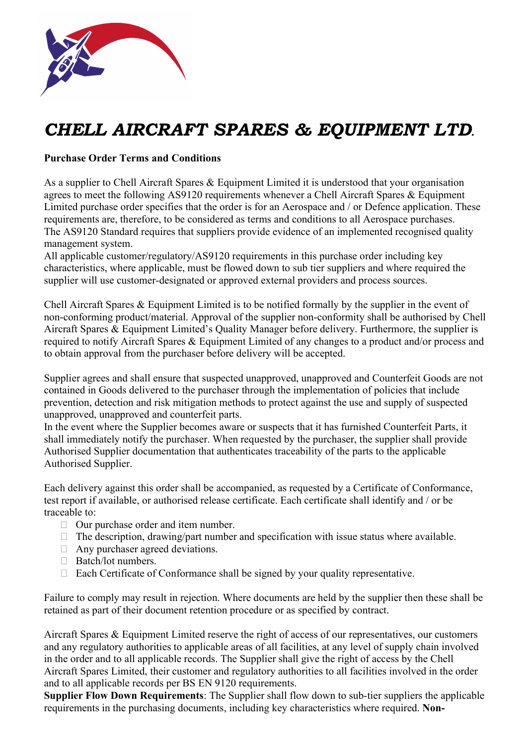

# CHELL AIRCRAFT SPARES & EQUIPMENT LTD.

## Purchase Order Terms and Conditions

As a supplier to Chell Aircraft Spares & Equipment Limited it is understood that your organisation agrees to meet the following AS9120 requirements whenever a Chell Aircraft Spares & Equipment Limited purchase order specifies that the order is for an Aerospace and / or Defence application. These requirements are, therefore, to be considered as terms and conditions to all Aerospace purchases. The AS9120 Standard requires that suppliers provide evidence of an implemented recognised quality management system.

All applicable customer/regulatory/AS9120 requirements in this purchase order including key characteristics, where applicable, must be flowed down to sub tier suppliers and where required the supplier will use customer-designated or approved external providers and process sources.

Chell Aircraft Spares & Equipment Limited is to be notified formally by the supplier in the event of non‐conforming product/material. Approval of the supplier non‐conformity shall be authorised by Chell Aircraft Spares & Equipment Limited's Quality Manager before delivery. Furthermore, the supplier is required to notify Aircraft Spares & Equipment Limited of any changes to a product and/or process and to obtain approval from the purchaser before delivery will be accepted.

Supplier agrees and shall ensure that suspected unapproved, unapproved and Counterfeit Goods are not contained in Goods delivered to the purchaser through the implementation of policies that include prevention, detection and risk mitigation methods to protect against the use and supply of suspected unapproved, unapproved and counterfeit parts.

In the event where the Supplier becomes aware or suspects that it has furnished Counterfeit Parts, it shall immediately notify the purchaser. When requested by the purchaser, the supplier shall provide Authorised Supplier documentation that authenticates traceability of the parts to the applicable Authorised Supplier.

Each delivery against this order shall be accompanied, as requested by a Certificate of Conformance, test report if available, or authorised release certificate. Each certificate shall identify and / or be traceable to:

- $\Box$  Our purchase order and item number.
- $\Box$  The description, drawing/part number and specification with issue status where available.
- $\Box$  Any purchaser agreed deviations.
- Batch/lot numbers.
- $\Box$  Each Certificate of Conformance shall be signed by your quality representative.

Failure to comply may result in rejection. Where documents are held by the supplier then these shall be retained as part of their document retention procedure or as specified by contract.

Aircraft Spares & Equipment Limited reserve the right of access of our representatives, our customers and any regulatory authorities to applicable areas of all facilities, at any level of supply chain involved in the order and to all applicable records. The Supplier shall give the right of access by the Chell Aircraft Spares Limited, their customer and regulatory authorities to all facilities involved in the order and to all applicable records per BS EN 9120 requirements.

Supplier Flow Down Requirements: The Supplier shall flow down to sub-tier suppliers the applicable requirements in the purchasing documents, including key characteristics where required. Non